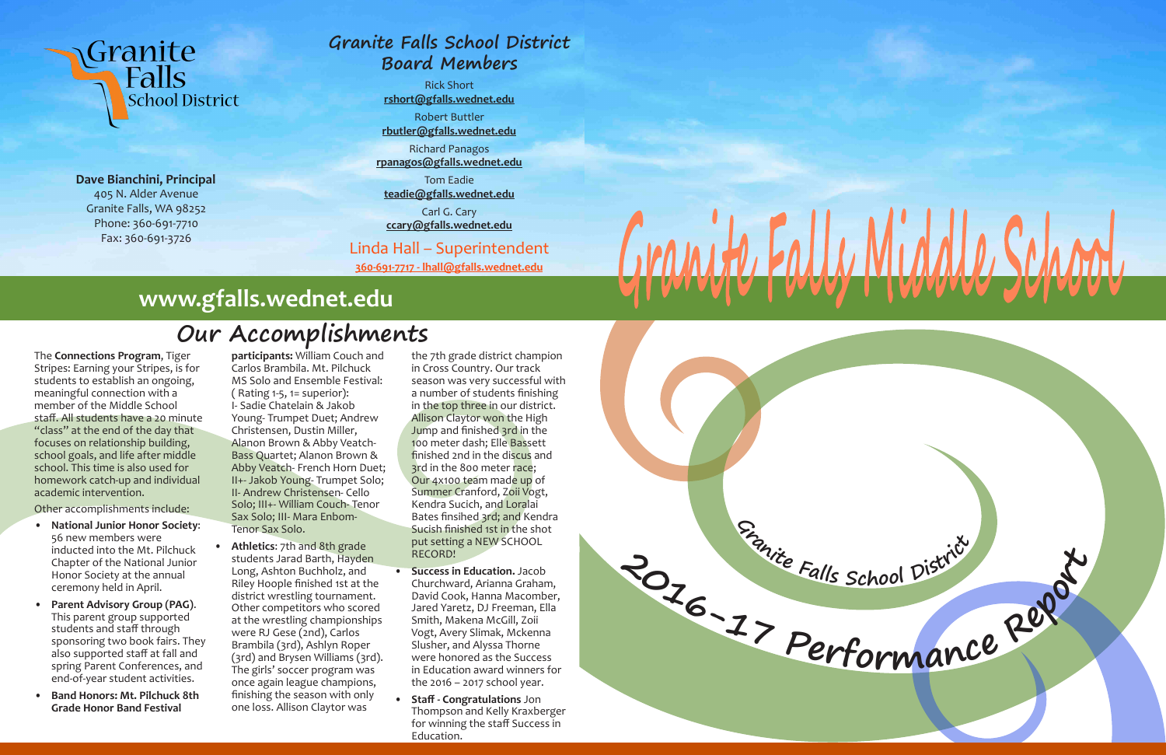# **Granite Falls School District Board Members**

Rick Short **rshort@gfalls.wednet.edu** Robert Buttler **rbutler@gfalls.wednet.edu**

Richard Panagos

**rpanagos@gfalls.wednet.edu**

Tom Eadie **teadie@gfalls.wednet.edu**

Carl G. Cary **ccary@gfalls.wednet.edu**

Linda Hall – Superintendent **360-691-7717 - lhall@gfalls.wednet.edu**



**Dave Bianchini, Principal** 405 N. Alder Avenue Granite Falls, WA 98252 Phone: 360-691-7710 Fax: 360-691-3726

The **Connections Program**, Tiger Stripes: Earning your Stripes, is for students to establish an ongoing, meaningful connection with a member of the Middle School staff. All students have a 20 minute "class" at the end of the day that focuses on relationship building, school goals, and life after middle school. This time is also used for homework catch-up and individual academic intervention.

Other accomplishments include:

- **• National Junior Honor Society**: 56 new members were inducted into the Mt. Pilchuck Chapter of the National Junior Honor Society at the annual ceremony held in April.
- **• Parent Advisory Group (PAG)**. This parent group supported students and staff through sponsoring two book fairs. They also supported staff at fall and spring Parent Conferences, and end-of-year student activities.
- **• Band Honors: Mt. Pilchuck 8th Grade Honor Band Festival**

**participants:** William Couch and Carlos Brambila. Mt. Pilchuck MS Solo and Ensemble Festival:  $($  Rating 1-5, 1 = superior $):$ I- Sadie Chatelain & Jakob Young- Trumpet Duet; Andrew Christensen, Dustin Miller, Alanon Brown & Abby Veatch-Bass Quartet; Alanon Brown & Abby Veatch- French Horn Duet; II+- Jakob Young- Trumpet Solo; II- Andrew Christensen- Cello Solo; III+- William Couch- Tenor Sax Solo; III- Mara Enbom-Tenor Sax Solo.

**• Athletics**: 7th and 8th grade students Jarad Barth, Hayden Long, Ashton Buchholz, and Riley Hoople finished 1st at the district wrestling tournament. Other competitors who scored at the wrestling championships were RJ Gese (2nd), Carlos Brambila (3rd), Ashlyn Roper (3rd) and Brysen Williams (3rd). The girls' soccer program was once again league champions, finishing the season with only one loss. Allison Claytor was

the 7th grade district champion in Cross Country. Our track season was very successful with a number of students finishing in the top three in our district. Allison Claytor won the High Jump and finished 3rd in the 100 meter dash; Elle Bassett finished 2nd in the discus and 3rd in the 800 meter race; Our 4x100 team made up of Summer Cranford, Zoii Vogt, Kendra Sucich, and Loralai Bates finsihed 3rd; and Kendra Sucish finished 1st in the shot put setting a NEW SCHOOL RECORD!

- **• Success in Education.** Jacob Churchward, Arianna Graham, David Cook, Hanna Macomber, Jared Yaretz, DJ Freeman, Ella Smith, Makena McGill, Zoii Vogt, Avery Slimak, Mckenna Slusher, and Alyssa Thorne were honored as the Success in Education award winners for the 2016 – 2017 school year.
- **• Staff Congratulations** Jon Thompson and Kelly Kraxberger for winning the staff Success in Education.

# **Our Accomplishments**

# **www.gfalls.wednet.edu**